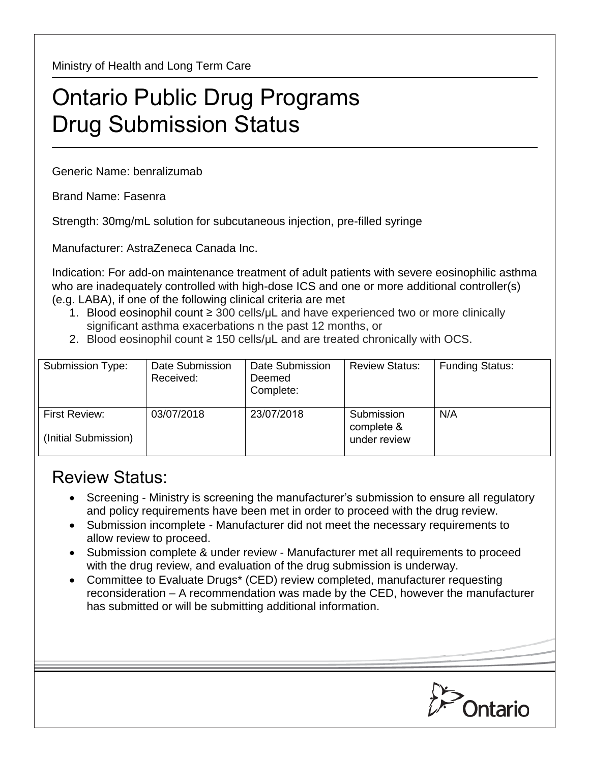Ministry of Health and Long Term Care

## Ontario Public Drug Programs Drug Submission Status

Generic Name: benralizumab

Brand Name: Fasenra

Strength: 30mg/mL solution for subcutaneous injection, pre-filled syringe

Manufacturer: AstraZeneca Canada Inc.

Indication: For add-on maintenance treatment of adult patients with severe eosinophilic asthma who are inadequately controlled with high-dose ICS and one or more additional controller(s) (e.g. LABA), if one of the following clinical criteria are met

- 1. Blood eosinophil count ≥ 300 cells/μL and have experienced two or more clinically significant asthma exacerbations n the past 12 months, or
- 2. Blood eosinophil count  $\geq$  150 cells/ $\mu$ L and are treated chronically with OCS.

| Submission Type:                      | Date Submission<br>Received: | Date Submission<br>Deemed<br>Complete: | <b>Review Status:</b>                    | <b>Funding Status:</b> |
|---------------------------------------|------------------------------|----------------------------------------|------------------------------------------|------------------------|
| First Review:<br>(Initial Submission) | 03/07/2018                   | 23/07/2018                             | Submission<br>complete &<br>under review | N/A                    |

## Review Status:

- Screening Ministry is screening the manufacturer's submission to ensure all regulatory and policy requirements have been met in order to proceed with the drug review.
- Submission incomplete Manufacturer did not meet the necessary requirements to allow review to proceed.
- Submission complete & under review Manufacturer met all requirements to proceed with the drug review, and evaluation of the drug submission is underway.
- Committee to Evaluate Drugs\* (CED) review completed, manufacturer requesting reconsideration – A recommendation was made by the CED, however the manufacturer has submitted or will be submitting additional information.